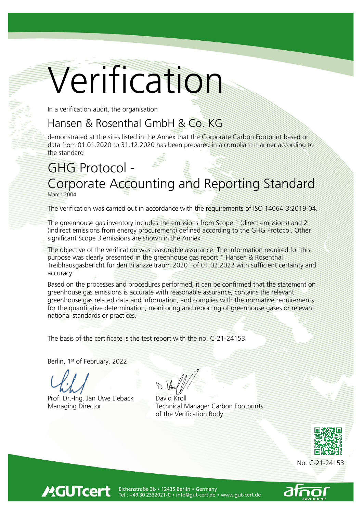# Verification

In a verification audit, the organisation

## Hansen & Rosenthal GmbH & Co. KG

demonstrated at the sites listed in the Annex that the Corporate Carbon Footprint based on data from 01.01.2020 to 31.12.2020 has been prepared in a compliant manner according to the standard

# GHG Protocol -

## Corporate Accounting and Reporting Standard March 2004

The verification was carried out in accordance with the requirements of ISO 14064-3:2019-04.

The greenhouse gas inventory includes the emissions from Scope 1 (direct emissions) and 2 (indirect emissions from energy procurement) defined according to the GHG Protocol. Other significant Scope 3 emissions are shown in the Annex.

The objective of the verification was reasonable assurance. The information required for this purpose was clearly presented in the greenhouse gas report " Hansen & Rosenthal Treibhausgasbericht für den Bilanzzeitraum 2020" of 01.02.2022 with sufficient certainty and accuracy.

Based on the processes and procedures performed, it can be confirmed that the statement on greenhouse gas emissions is accurate with reasonable assurance, contains the relevant greenhouse gas related data and information, and complies with the normative requirements for the quantitative determination, monitoring and reporting of greenhouse gases or relevant national standards or practices.

The basis of the certificate is the test report with the no. C-21-24153.

Berlin, 1<sup>st</sup> of February, 2022

**MGUTcert** 

Prof. Dr.-Ing. Jan Uwe Lieback

Managing Director Technical Manager Carbon Footprints of the Verification Body





Eichenstraße 3b · 12435 Berlin · Germany<br>Tel.: +49 30 2332021-0 · info@gut-cert.de · www.gut-cert.de